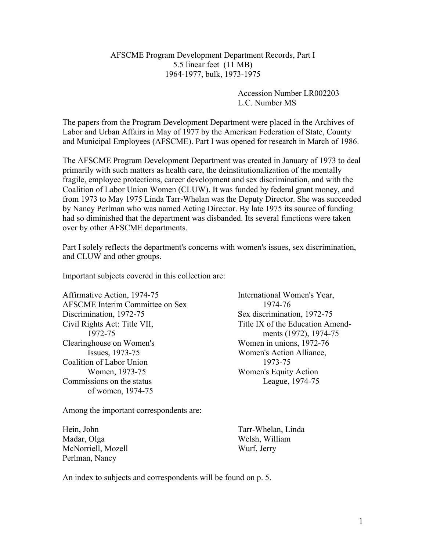## AFSCME Program Development Department Records, Part I 5.5 linear feet (11 MB) 1964-1977, bulk, 1973-1975

Accession Number LR002203 L.C. Number MS

The papers from the Program Development Department were placed in the Archives of Labor and Urban Affairs in May of 1977 by the American Federation of State, County and Municipal Employees (AFSCME). Part I was opened for research in March of 1986.

The AFSCME Program Development Department was created in January of 1973 to deal primarily with such matters as health care, the deinstitutionalization of the mentally fragile, employee protections, career development and sex discrimination, and with the Coalition of Labor Union Women (CLUW). It was funded by federal grant money, and from 1973 to May 1975 Linda Tarr-Whelan was the Deputy Director. She was succeeded by Nancy Perlman who was named Acting Director. By late 1975 its source of funding had so diminished that the department was disbanded. Its several functions were taken over by other AFSCME departments.

Part I solely reflects the department's concerns with women's issues, sex discrimination, and CLUW and other groups.

Important subjects covered in this collection are:

Affirmative Action, 1974-75 International Women's Year, AFSCME Interim Committee on Sex 1974-76 Discrimination, 1972-75 Sex discrimination, 1972-75 Civil Rights Act: Title VII, Title IX of the Education Amend-Clearinghouse on Women's Women in unions, 1972-76 Coalition of Labor Union 1973-75 Women, 1973-75 Women's Equity Action Commissions on the status League, 1974-75 of women, 1974-75

Among the important correspondents are:

Madar, Olga Welsh, William McNorriell, Mozell Wurf, Jerry Perlman, Nancy

1972-75 ments (1972), 1974-75 Issues, 1973-75 Women's Action Alliance,

Hein, John Tarr-Whelan, Linda

An index to subjects and correspondents will be found on p. 5.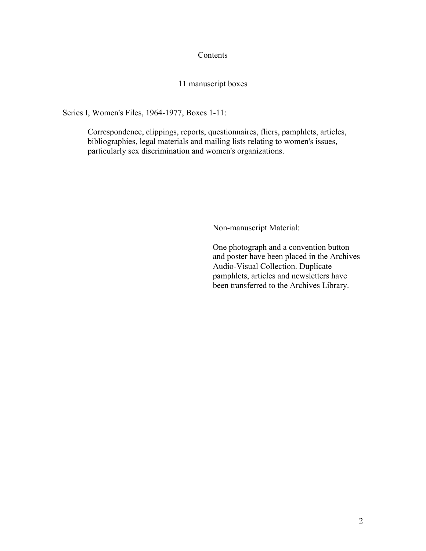## **Contents**

## 11 manuscript boxes

Series I, Women's Files, 1964-1977, Boxes 1-11:

Correspondence, clippings, reports, questionnaires, fliers, pamphlets, articles, bibliographies, legal materials and mailing lists relating to women's issues, particularly sex discrimination and women's organizations.

Non-manuscript Material:

One photograph and a convention button and poster have been placed in the Archives Audio-Visual Collection. Duplicate pamphlets, articles and newsletters have been transferred to the Archives Library.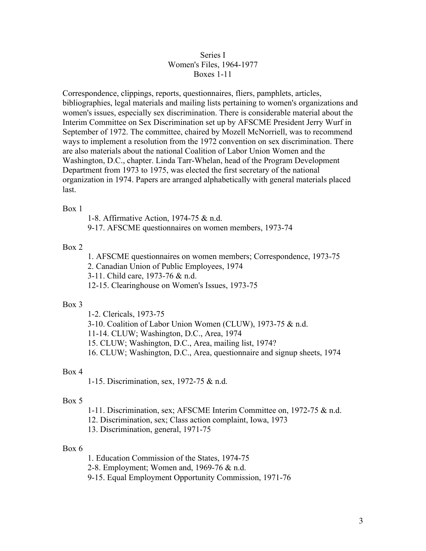## Series I Women's Files, 1964-1977 Boxes 1-11

Correspondence, clippings, reports, questionnaires, fliers, pamphlets, articles, bibliographies, legal materials and mailing lists pertaining to women's organizations and women's issues, especially sex discrimination. There is considerable material about the Interim Committee on Sex Discrimination set up by AFSCME President Jerry Wurf in September of 1972. The committee, chaired by Mozell McNorriell, was to recommend ways to implement a resolution from the 1972 convention on sex discrimination. There are also materials about the national Coalition of Labor Union Women and the Washington, D.C., chapter. Linda Tarr-Whelan, head of the Program Development Department from 1973 to 1975, was elected the first secretary of the national organization in 1974. Papers are arranged alphabetically with general materials placed last.

#### Box 1

1-8. Affirmative Action, 1974-75 & n.d. 9-17. AFSCME questionnaires on women members, 1973-74

#### Box 2

1. AFSCME questionnaires on women members; Correspondence, 1973-75

2. Canadian Union of Public Employees, 1974

3-11. Child care, 1973-76 & n.d.

12-15. Clearinghouse on Women's Issues, 1973-75

#### Box 3

1-2. Clericals, 1973-75 3-10. Coalition of Labor Union Women (CLUW), 1973-75 & n.d. 11-14. CLUW; Washington, D.C., Area, 1974 15. CLUW; Washington, D.C., Area, mailing list, 1974? 16. CLUW; Washington, D.C., Area, questionnaire and signup sheets, 1974

#### Box 4

1-15. Discrimination, sex, 1972-75 & n.d.

#### Box 5

1-11. Discrimination, sex; AFSCME Interim Committee on, 1972-75 & n.d.

12. Discrimination, sex; Class action complaint, Iowa, 1973

13. Discrimination, general, 1971-75

#### Box 6

1. Education Commission of the States, 1974-75

2-8. Employment; Women and, 1969-76 & n.d.

9-15. Equal Employment Opportunity Commission, 1971-76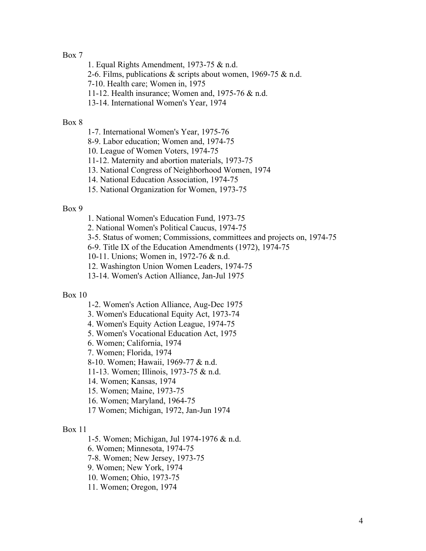#### Box 7

1. Equal Rights Amendment, 1973-75 & n.d.

2-6. Films, publications  $&$  scripts about women, 1969-75  $&$  n.d.

7-10. Health care; Women in, 1975

11-12. Health insurance; Women and, 1975-76 & n.d.

13-14. International Women's Year, 1974

#### Box 8

1-7. International Women's Year, 1975-76

8-9. Labor education; Women and, 1974-75

10. League of Women Voters, 1974-75

11-12. Maternity and abortion materials, 1973-75

13. National Congress of Neighborhood Women, 1974

14. National Education Association, 1974-75

15. National Organization for Women, 1973-75

#### Box 9

1. National Women's Education Fund, 1973-75

2. National Women's Political Caucus, 1974-75

3-5. Status of women; Commissions, committees and projects on, 1974-75

6-9. Title IX of the Education Amendments (1972), 1974-75

10-11. Unions; Women in, 1972-76 & n.d.

12. Washington Union Women Leaders, 1974-75

13-14. Women's Action Alliance, Jan-Jul 1975

#### Box 10

1-2. Women's Action Alliance, Aug-Dec 1975

3. Women's Educational Equity Act, 1973-74

4. Women's Equity Action League, 1974-75

5. Women's Vocational Education Act, 1975

6. Women; California, 1974

7. Women; Florida, 1974

8-10. Women; Hawaii, 1969-77 & n.d.

11-13. Women; Illinois, 1973-75 & n.d.

14. Women; Kansas, 1974

15. Women; Maine, 1973-75

16. Women; Maryland, 1964-75

17 Women; Michigan, 1972, Jan-Jun 1974

#### Box 11

1-5. Women; Michigan, Jul 1974-1976 & n.d.

6. Women; Minnesota, 1974-75

7-8. Women; New Jersey, 1973-75

9. Women; New York, 1974

10. Women; Ohio, 1973-75

11. Women; Oregon, 1974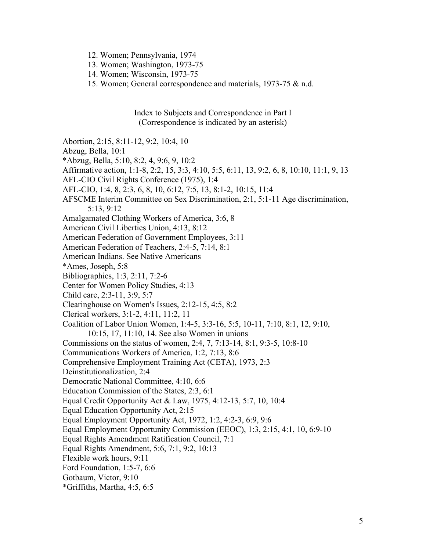- 12. Women; Pennsylvania, 1974
- 13. Women; Washington, 1973-75
- 14. Women; Wisconsin, 1973-75
- 15. Women; General correspondence and materials, 1973-75 & n.d.

Index to Subjects and Correspondence in Part I (Correspondence is indicated by an asterisk)

- Abortion, 2:15, 8:11-12, 9:2, 10:4, 10
- Abzug, Bella, 10:1
- \*Abzug, Bella, 5:10, 8:2, 4, 9:6, 9, 10:2
- Affirmative action, 1:1-8, 2:2, 15, 3:3, 4:10, 5:5, 6:11, 13, 9:2, 6, 8, 10:10, 11:1, 9, 13
- AFL-CIO Civil Rights Conference (1975), 1:4
- AFL-CIO, 1:4, 8, 2:3, 6, 8, 10, 6:12, 7:5, 13, 8:1-2, 10:15, 11:4
- AFSCME Interim Committee on Sex Discrimination, 2:1, 5:1-11 Age discrimination, 5:13, 9:12
- Amalgamated Clothing Workers of America, 3:6, 8
- American Civil Liberties Union, 4:13, 8:12
- American Federation of Government Employees, 3:11
- American Federation of Teachers, 2:4-5, 7:14, 8:1
- American Indians. See Native Americans
- \*Ames, Joseph, 5:8
- Bibliographies, 1:3, 2:11, 7:2-6
- Center for Women Policy Studies, 4:13
- Child care, 2:3-11, 3:9, 5:7
- Clearinghouse on Women's Issues, 2:12-15, 4:5, 8:2
- Clerical workers, 3:1-2, 4:11, 11:2, 11

Coalition of Labor Union Women, 1:4-5, 3:3-16, 5:5, 10-11, 7:10, 8:1, 12, 9:10, 10:15, 17, 11:10, 14. See also Women in unions

- Commissions on the status of women, 2:4, 7, 7:13-14, 8:1, 9:3-5, 10:8-10
- Communications Workers of America, 1:2, 7:13, 8:6
- Comprehensive Employment Training Act (CETA), 1973, 2:3
- Deinstitutionalization, 2:4
- Democratic National Committee, 4:10, 6:6
- Education Commission of the States, 2:3, 6:1
- Equal Credit Opportunity Act & Law, 1975, 4:12-13, 5:7, 10, 10:4
- Equal Education Opportunity Act, 2:15
- Equal Employment Opportunity Act, 1972, 1:2, 4:2-3, 6:9, 9:6
- Equal Employment Opportunity Commission (EEOC), 1:3, 2:15, 4:1, 10, 6:9-10
- Equal Rights Amendment Ratification Council, 7:1
- Equal Rights Amendment, 5:6, 7:1, 9:2, 10:13
- Flexible work hours, 9:11
- Ford Foundation, 1:5-7, 6:6
- Gotbaum, Victor, 9:10
- \*Griffiths, Martha, 4:5, 6:5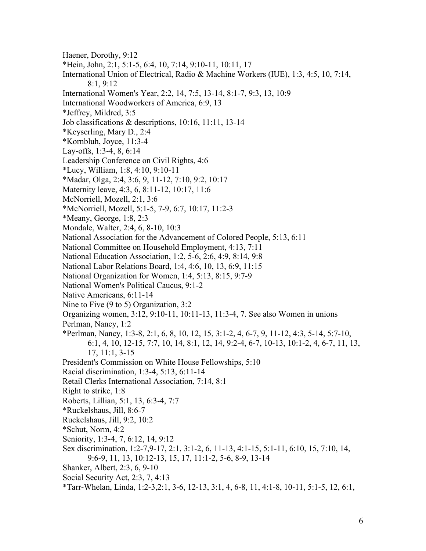Haener, Dorothy, 9:12 \*Hein, John, 2:1, 5:1-5, 6:4, 10, 7:14, 9:10-11, 10:11, 17 International Union of Electrical, Radio & Machine Workers (IUE), 1:3, 4:5, 10, 7:14, 8:1, 9:12 International Women's Year, 2:2, 14, 7:5, 13-14, 8:1-7, 9:3, 13, 10:9 International Woodworkers of America, 6:9, 13 \*Jeffrey, Mildred, 3:5 Job classifications & descriptions, 10:16, 11:11, 13-14 \*Keyserling, Mary D., 2:4 \*Kornbluh, Joyce, 11:3-4 Lay-offs, 1:3-4, 8, 6:14 Leadership Conference on Civil Rights, 4:6 \*Lucy, William, 1:8, 4:10, 9:10-11 \*Madar, Olga, 2:4, 3:6, 9, 11-12, 7:10, 9:2, 10:17 Maternity leave, 4:3, 6, 8:11-12, 10:17, 11:6 McNorriell, Mozell, 2:1, 3:6 \*McNorriell, Mozell, 5:1-5, 7-9, 6:7, 10:17, 11:2-3 \*Meany, George, 1:8, 2:3 Mondale, Walter, 2:4, 6, 8-10, 10:3 National Association for the Advancement of Colored People, 5:13, 6:11 National Committee on Household Employment, 4:13, 7:11 National Education Association, 1:2, 5-6, 2:6, 4:9, 8:14, 9:8 National Labor Relations Board, 1:4, 4:6, 10, 13, 6:9, 11:15 National Organization for Women, 1:4, 5:13, 8:15, 9:7-9 National Women's Political Caucus, 9:1-2 Native Americans, 6:11-14 Nine to Five (9 to 5) Organization, 3:2 Organizing women, 3:12, 9:10-11, 10:11-13, 11:3-4, 7. See also Women in unions Perlman, Nancy, 1:2 \*Perlman, Nancy, 1:3-8, 2:1, 6, 8, 10, 12, 15, 3:1-2, 4, 6-7, 9, 11-12, 4:3, 5-14, 5:7-10, 6:1, 4, 10, 12-15, 7:7, 10, 14, 8:1, 12, 14, 9:2-4, 6-7, 10-13, 10:1-2, 4, 6-7, 11, 13, 17, 11:1, 3-15 President's Commission on White House Fellowships, 5:10 Racial discrimination, 1:3-4, 5:13, 6:11-14 Retail Clerks International Association, 7:14, 8:1 Right to strike, 1:8 Roberts, Lillian, 5:1, 13, 6:3-4, 7:7 \*Ruckelshaus, Jill, 8:6-7 Ruckelshaus, Jill, 9:2, 10:2 \*Schut, Norm, 4:2 Seniority, 1:3-4, 7, 6:12, 14, 9:12 Sex discrimination, 1:2-7,9-17, 2:1, 3:1-2, 6, 11-13, 4:1-15, 5:1-11, 6:10, 15, 7:10, 14, 9:6-9, 11, 13, 10:12-13, 15, 17, 11:1-2, 5-6, 8-9, 13-14 Shanker, Albert, 2:3, 6, 9-10 Social Security Act, 2:3, 7, 4:13 \*Tarr-Whelan, Linda, 1:2-3,2:1, 3-6, 12-13, 3:1, 4, 6-8, 11, 4:1-8, 10-11, 5:1-5, 12, 6:1,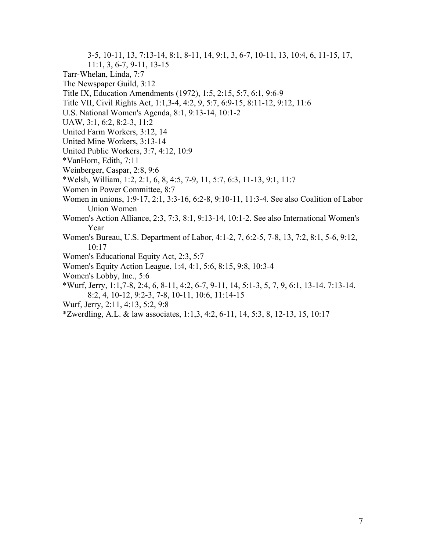3-5, 10-11, 13, 7:13-14, 8:1, 8-11, 14, 9:1, 3, 6-7, 10-11, 13, 10:4, 6, 11-15, 17,

- 11:1, 3, 6-7, 9-11, 13-15
- Tarr-Whelan, Linda, 7:7
- The Newspaper Guild, 3:12
- Title IX, Education Amendments (1972), 1:5, 2:15, 5:7, 6:1, 9:6-9
- Title VII, Civil Rights Act, 1:1,3-4, 4:2, 9, 5:7, 6:9-15, 8:11-12, 9:12, 11:6
- U.S. National Women's Agenda, 8:1, 9:13-14, 10:1-2
- UAW, 3:1, 6:2, 8:2-3, 11:2
- United Farm Workers, 3:12, 14
- United Mine Workers, 3:13-14
- United Public Workers, 3:7, 4:12, 10:9
- \*VanHorn, Edith, 7:11
- Weinberger, Caspar, 2:8, 9:6
- \*Welsh, William, 1:2, 2:1, 6, 8, 4:5, 7-9, 11, 5:7, 6:3, 11-13, 9:1, 11:7
- Women in Power Committee, 8:7
- Women in unions, 1:9-17, 2:1, 3:3-16, 6:2-8, 9:10-11, 11:3-4. See also Coalition of Labor Union Women
- Women's Action Alliance, 2:3, 7:3, 8:1, 9:13-14, 10:1-2. See also International Women's Year
- Women's Bureau, U.S. Department of Labor, 4:1-2, 7, 6:2-5, 7-8, 13, 7:2, 8:1, 5-6, 9:12, 10:17
- Women's Educational Equity Act, 2:3, 5:7
- Women's Equity Action League, 1:4, 4:1, 5:6, 8:15, 9:8, 10:3-4
- Women's Lobby, Inc., 5:6
- \*Wurf, Jerry, 1:1,7-8, 2:4, 6, 8-11, 4:2, 6-7, 9-11, 14, 5:1-3, 5, 7, 9, 6:1, 13-14. 7:13-14. 8:2, 4, 10-12, 9:2-3, 7-8, 10-11, 10:6, 11:14-15
- Wurf, Jerry, 2:11, 4:13, 5:2, 9:8
- \*Zwerdling, A.L. & law associates, 1:1,3, 4:2, 6-11, 14, 5:3, 8, 12-13, 15, 10:17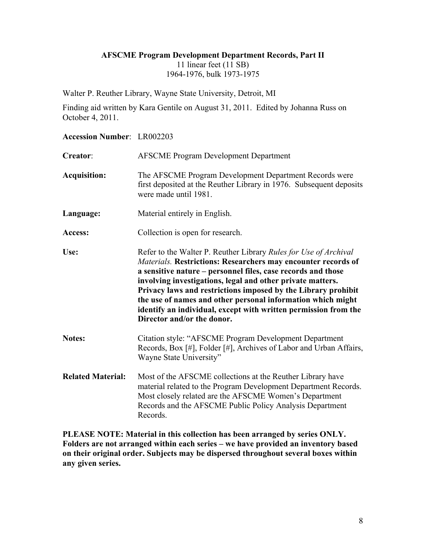# **AFSCME Program Development Department Records, Part II**  11 linear feet (11 SB) 1964-1976, bulk 1973-1975

Walter P. Reuther Library, Wayne State University, Detroit, MI

Finding aid written by Kara Gentile on August 31, 2011. Edited by Johanna Russ on October 4, 2011.

#### **Accession Number**: LR002203

| Creator:                 | <b>AFSCME Program Development Department</b>                                                                                                                                                                                                                                                                                                                                                                                                                                                     |
|--------------------------|--------------------------------------------------------------------------------------------------------------------------------------------------------------------------------------------------------------------------------------------------------------------------------------------------------------------------------------------------------------------------------------------------------------------------------------------------------------------------------------------------|
| <b>Acquisition:</b>      | The AFSCME Program Development Department Records were<br>first deposited at the Reuther Library in 1976. Subsequent deposits<br>were made until 1981.                                                                                                                                                                                                                                                                                                                                           |
| Language:                | Material entirely in English.                                                                                                                                                                                                                                                                                                                                                                                                                                                                    |
| Access:                  | Collection is open for research.                                                                                                                                                                                                                                                                                                                                                                                                                                                                 |
| Use:                     | Refer to the Walter P. Reuther Library Rules for Use of Archival<br>Materials. Restrictions: Researchers may encounter records of<br>a sensitive nature - personnel files, case records and those<br>involving investigations, legal and other private matters.<br>Privacy laws and restrictions imposed by the Library prohibit<br>the use of names and other personal information which might<br>identify an individual, except with written permission from the<br>Director and/or the donor. |
| <b>Notes:</b>            | Citation style: "AFSCME Program Development Department<br>Records, Box [#], Folder [#], Archives of Labor and Urban Affairs,<br>Wayne State University"                                                                                                                                                                                                                                                                                                                                          |
| <b>Related Material:</b> | Most of the AFSCME collections at the Reuther Library have<br>material related to the Program Development Department Records.<br>Most closely related are the AFSCME Women's Department<br>Records and the AFSCME Public Policy Analysis Department<br>Records.                                                                                                                                                                                                                                  |

**PLEASE NOTE: Material in this collection has been arranged by series ONLY. Folders are not arranged within each series – we have provided an inventory based on their original order. Subjects may be dispersed throughout several boxes within any given series.**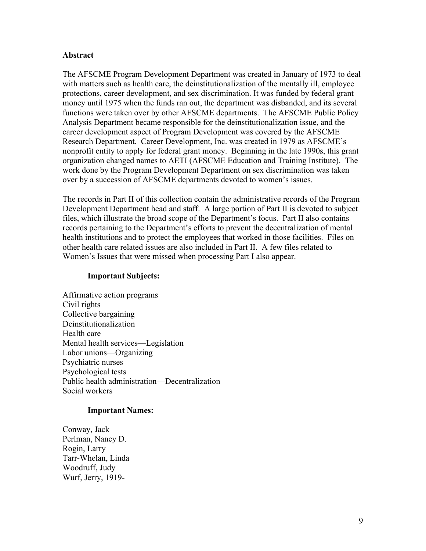#### **Abstract**

The AFSCME Program Development Department was created in January of 1973 to deal with matters such as health care, the deinstitutionalization of the mentally ill, employee protections, career development, and sex discrimination. It was funded by federal grant money until 1975 when the funds ran out, the department was disbanded, and its several functions were taken over by other AFSCME departments. The AFSCME Public Policy Analysis Department became responsible for the deinstitutionalization issue, and the career development aspect of Program Development was covered by the AFSCME Research Department. Career Development, Inc. was created in 1979 as AFSCME's nonprofit entity to apply for federal grant money. Beginning in the late 1990s, this grant organization changed names to AETI (AFSCME Education and Training Institute). The work done by the Program Development Department on sex discrimination was taken over by a succession of AFSCME departments devoted to women's issues.

The records in Part II of this collection contain the administrative records of the Program Development Department head and staff. A large portion of Part II is devoted to subject files, which illustrate the broad scope of the Department's focus. Part II also contains records pertaining to the Department's efforts to prevent the decentralization of mental health institutions and to protect the employees that worked in those facilities. Files on other health care related issues are also included in Part II. A few files related to Women's Issues that were missed when processing Part I also appear.

#### **Important Subjects:**

Affirmative action programs Civil rights Collective bargaining Deinstitutionalization Health care Mental health services—Legislation Labor unions—Organizing Psychiatric nurses Psychological tests Public health administration—Decentralization Social workers

#### **Important Names:**

Conway, Jack Perlman, Nancy D. Rogin, Larry Tarr-Whelan, Linda Woodruff, Judy Wurf, Jerry, 1919-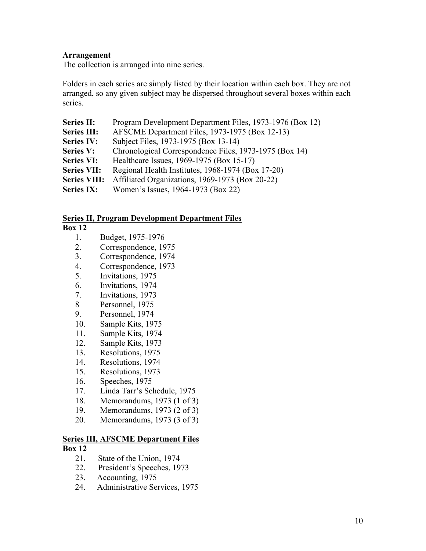## **Arrangement**

The collection is arranged into nine series.

Folders in each series are simply listed by their location within each box. They are not arranged, so any given subject may be dispersed throughout several boxes within each series.

| <b>Series II:</b>   | Program Development Department Files, 1973-1976 (Box 12) |
|---------------------|----------------------------------------------------------|
| <b>Series III:</b>  | AFSCME Department Files, 1973-1975 (Box 12-13)           |
| <b>Series IV:</b>   | Subject Files, 1973-1975 (Box 13-14)                     |
| <b>Series V:</b>    | Chronological Correspondence Files, 1973-1975 (Box 14)   |
| <b>Series VI:</b>   | Healthcare Issues, 1969-1975 (Box 15-17)                 |
| <b>Series VII:</b>  | Regional Health Institutes, 1968-1974 (Box 17-20)        |
| <b>Series VIII:</b> | Affiliated Organizations, 1969-1973 (Box 20-22)          |
| <b>Series IX:</b>   | Women's Issues, 1964-1973 (Box 22)                       |

## **Series II, Program Development Department Files**

## **Box 12**

- 1. Budget, 1975-1976
- 2. Correspondence, 1975
- 3. Correspondence, 1974
- 4. Correspondence, 1973
- 5. Invitations, 1975
- 6. Invitations, 1974
- 7. Invitations, 1973
- 8 Personnel, 1975
- 9. Personnel, 1974
- 10. Sample Kits, 1975
- 11. Sample Kits, 1974
- 12. Sample Kits, 1973
- 13. Resolutions, 1975
- 14. Resolutions, 1974
- 15. Resolutions, 1973
- 16. Speeches, 1975
- 17. Linda Tarr's Schedule, 1975
- 18. Memorandums, 1973 (1 of 3)
- 19. Memorandums, 1973 (2 of 3)
- 20. Memorandums, 1973 (3 of 3)

#### **Series III, AFSCME Department Files Box 12**

- 21. State of the Union, 1974
- 22. President's Speeches, 1973
- 23. Accounting, 1975
- 24. Administrative Services, 1975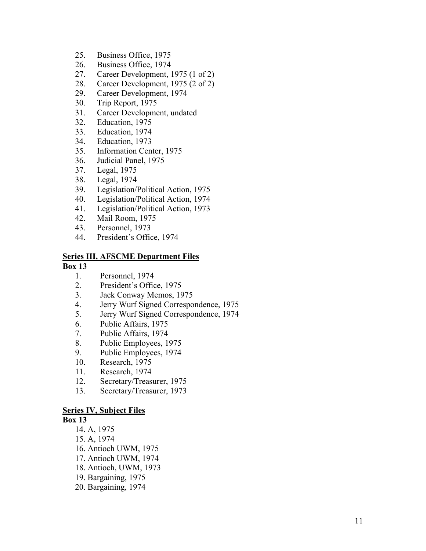- 25. Business Office, 1975
- 26. Business Office, 1974
- 27. Career Development, 1975 (1 of 2)
- 28. Career Development, 1975 (2 of 2)
- 29. Career Development, 1974
- 30. Trip Report, 1975
- 31. Career Development, undated
- 32. Education, 1975
- 33. Education, 1974
- 34. Education, 1973
- 35. Information Center, 1975
- 36. Judicial Panel, 1975
- 37. Legal, 1975
- 38. Legal, 1974
- 39. Legislation/Political Action, 1975
- 40. Legislation/Political Action, 1974
- 41. Legislation/Political Action, 1973
- 42. Mail Room, 1975
- 43. Personnel, 1973
- 44. President's Office, 1974

#### **Series III, AFSCME Department Files**

#### **Box 13**

- 1. Personnel, 1974
- 2. President's Office, 1975
- 3. Jack Conway Memos, 1975
- 4. Jerry Wurf Signed Correspondence, 1975
- 5. Jerry Wurf Signed Correspondence, 1974
- 6. Public Affairs, 1975
- 7. Public Affairs, 1974
- 8. Public Employees, 1975
- 9. Public Employees, 1974
- 10. Research, 1975
- 11. Research, 1974
- 12. Secretary/Treasurer, 1975
- 13. Secretary/Treasurer, 1973

## **Series IV, Subject Files**

- 14. A, 1975
- 15. A, 1974
- 16. Antioch UWM, 1975
- 17. Antioch UWM, 1974
- 18. Antioch, UWM, 1973
- 19. Bargaining, 1975
- 20. Bargaining, 1974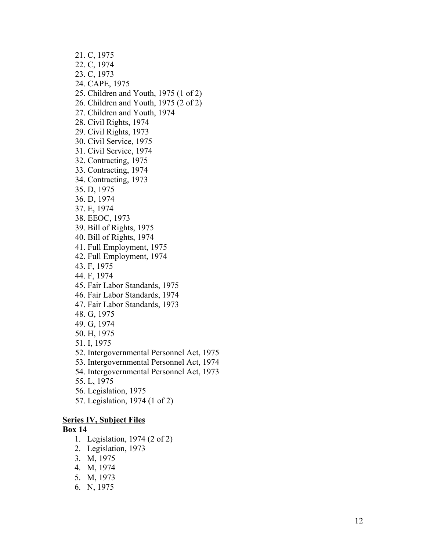21. C, 1975 22. C, 1974 23. C, 1973 24. CAPE, 1975 25. Children and Youth, 1975 (1 of 2) 26. Children and Youth, 1975 (2 of 2) 27. Children and Youth, 1974 28. Civil Rights, 1974 29. Civil Rights, 1973 30. Civil Service, 1975 31. Civil Service, 1974 32. Contracting, 1975 33. Contracting, 1974 34. Contracting, 1973 35. D, 1975 36. D, 1974 37. E, 1974 38. EEOC, 1973 39. Bill of Rights, 1975 40. Bill of Rights, 1974 41. Full Employment, 1975 42. Full Employment, 1974 43. F, 1975 44. F, 1974 45. Fair Labor Standards, 1975 46. Fair Labor Standards, 1974 47. Fair Labor Standards, 1973 48. G, 1975 49. G, 1974 50. H, 1975 51. I, 1975 52. Intergovernmental Personnel Act, 1975 53. Intergovernmental Personnel Act, 1974 54. Intergovernmental Personnel Act, 1973 55. L, 1975 56. Legislation, 1975 57. Legislation, 1974 (1 of 2)

## **Series IV, Subject Files**

- 1. Legislation, 1974 (2 of 2)
- 2. Legislation, 1973
- 3. M, 1975
- 4. M, 1974
- 5. M, 1973
- 6. N, 1975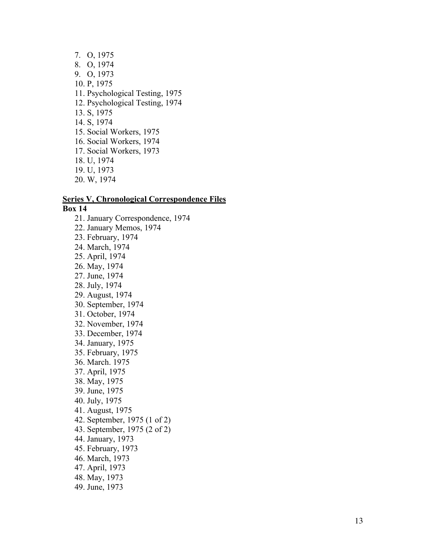7. O, 1975 8. O, 1974 9. O, 1973 10. P, 1975 11. Psychological Testing, 1975 12. Psychological Testing, 1974 13. S, 1975 14. S, 1974 15. Social Workers, 1975 16. Social Workers, 1974 17. Social Workers, 1973 18. U, 1974 19. U, 1973 20. W, 1974

#### **Series V, Chronological Correspondence Files Box 14**

21. January Correspondence, 1974 22. January Memos, 1974 23. February, 1974 24. March, 1974 25. April, 1974 26. May, 1974 27. June, 1974 28. July, 1974 29. August, 1974 30. September, 1974 31. October, 1974 32. November, 1974 33. December, 1974 34. January, 1975 35. February, 1975 36. March. 1975 37. April, 1975 38. May, 1975 39. June, 1975 40. July, 1975 41. August, 1975 42. September, 1975 (1 of 2) 43. September, 1975 (2 of 2) 44. January, 1973 45. February, 1973 46. March, 1973 47. April, 1973 48. May, 1973 49. June, 1973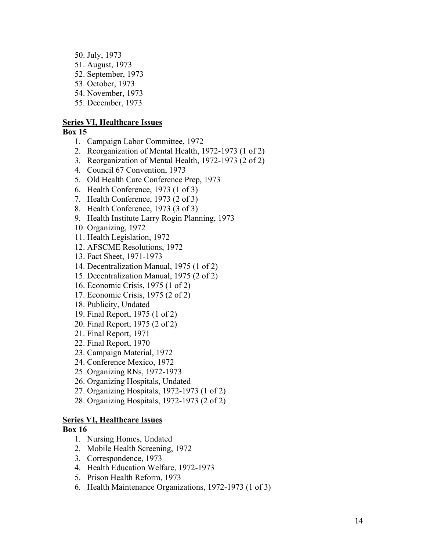- 50. July, 1973 51. August, 1973
- 52. September, 1973
- 53. October, 1973
- 54. November, 1973
- 55. December, 1973

# **Series VI, Healthcare Issues**

# **Box 15**

- 1. Campaign Labor Committee, 1972
- 2. Reorganization of Mental Health, 1972-1973 (1 of 2)
- 3. Reorganization of Mental Health, 1972-1973 (2 of 2)
- 4. Council 67 Convention, 1973
- 5. Old Health Care Conference Prep, 1973
- 6. Health Conference, 1973 (1 of 3)
- 7. Health Conference, 1973 (2 of 3)
- 8. Health Conference, 1973 (3 of 3)
- 9. Health Institute Larry Rogin Planning, 1973
- 10. Organizing, 1972
- 11. Health Legislation, 1972
- 12. AFSCME Resolutions, 1972
- 13. Fact Sheet, 1971-1973
- 14. Decentralization Manual, 1975 (1 of 2)
- 15. Decentralization Manual, 1975 (2 of 2)
- 16. Economic Crisis, 1975 (1 of 2)
- 17. Economic Crisis, 1975 (2 of 2)
- 18. Publicity, Undated
- 19. Final Report, 1975 (1 of 2)
- 20. Final Report, 1975 (2 of 2)
- 21. Final Report, 1971
- 22. Final Report, 1970
- 23. Campaign Material, 1972
- 24. Conference Mexico, 1972
- 25. Organizing RNs, 1972-1973
- 26. Organizing Hospitals, Undated
- 27. Organizing Hospitals, 1972-1973 (1 of 2)
- 28. Organizing Hospitals, 1972-1973 (2 of 2)

# **Series VI, Healthcare Issues**

- 1. Nursing Homes, Undated
- 2. Mobile Health Screening, 1972
- 3. Correspondence, 1973
- 4. Health Education Welfare, 1972-1973
- 5. Prison Health Reform, 1973
- 6. Health Maintenance Organizations, 1972-1973 (1 of 3)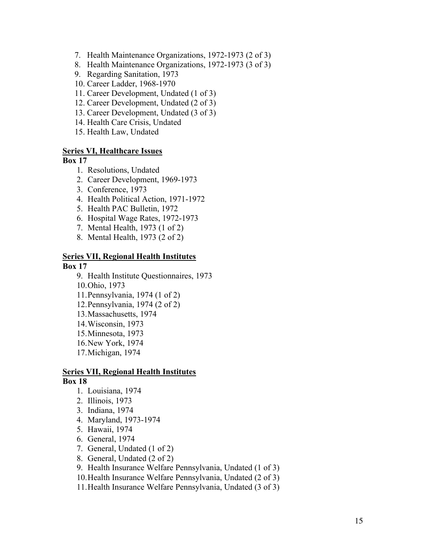- 7. Health Maintenance Organizations, 1972-1973 (2 of 3)
- 8. Health Maintenance Organizations, 1972-1973 (3 of 3)
- 9. Regarding Sanitation, 1973
- 10. Career Ladder, 1968-1970
- 11. Career Development, Undated (1 of 3)
- 12. Career Development, Undated (2 of 3)
- 13. Career Development, Undated (3 of 3)
- 14. Health Care Crisis, Undated
- 15. Health Law, Undated

## **Series VI, Healthcare Issues**

## **Box 17**

- 1. Resolutions, Undated
- 2. Career Development, 1969-1973
- 3. Conference, 1973
- 4. Health Political Action, 1971-1972
- 5. Health PAC Bulletin, 1972
- 6. Hospital Wage Rates, 1972-1973
- 7. Mental Health, 1973 (1 of 2)
- 8. Mental Health, 1973 (2 of 2)

## **Series VII, Regional Health Institutes**

#### **Box 17**

- 9. Health Institute Questionnaires, 1973 10.Ohio, 1973 11.Pennsylvania, 1974 (1 of 2) 12.Pennsylvania, 1974 (2 of 2) 13.Massachusetts, 1974
- 14.Wisconsin, 1973
- 15.Minnesota, 1973
- 16.New York, 1974
- 17.Michigan, 1974

# **Series VII, Regional Health Institutes**

- 1. Louisiana, 1974
- 2. Illinois, 1973
- 3. Indiana, 1974
- 4. Maryland, 1973-1974
- 5. Hawaii, 1974
- 6. General, 1974
- 7. General, Undated (1 of 2)
- 8. General, Undated (2 of 2)
- 9. Health Insurance Welfare Pennsylvania, Undated (1 of 3)
- 10.Health Insurance Welfare Pennsylvania, Undated (2 of 3)
- 11.Health Insurance Welfare Pennsylvania, Undated (3 of 3)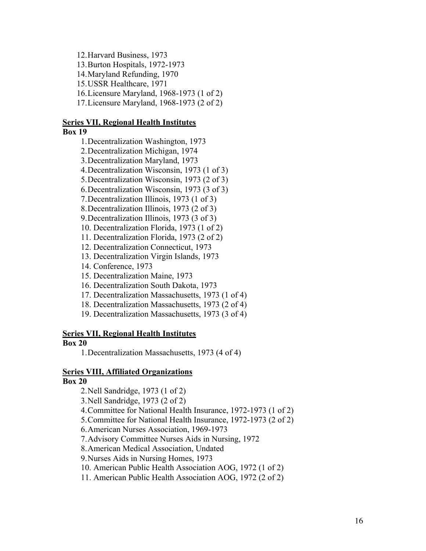12.Harvard Business, 1973 13.Burton Hospitals, 1972-1973 14.Maryland Refunding, 1970 15.USSR Healthcare, 1971 16.Licensure Maryland, 1968-1973 (1 of 2) 17.Licensure Maryland, 1968-1973 (2 of 2)

## **Series VII, Regional Health Institutes**

## **Box 19**

1.Decentralization Washington, 1973

- 2.Decentralization Michigan, 1974
- 3.Decentralization Maryland, 1973
- 4.Decentralization Wisconsin, 1973 (1 of 3)
- 5.Decentralization Wisconsin, 1973 (2 of 3)
- 6.Decentralization Wisconsin, 1973 (3 of 3)
- 7.Decentralization Illinois, 1973 (1 of 3)
- 8.Decentralization Illinois, 1973 (2 of 3)
- 9.Decentralization Illinois, 1973 (3 of 3)
- 10. Decentralization Florida, 1973 (1 of 2)
- 11. Decentralization Florida, 1973 (2 of 2)
- 12. Decentralization Connecticut, 1973
- 13. Decentralization Virgin Islands, 1973
- 14. Conference, 1973
- 15. Decentralization Maine, 1973
- 16. Decentralization South Dakota, 1973
- 17. Decentralization Massachusetts, 1973 (1 of 4)
- 18. Decentralization Massachusetts, 1973 (2 of 4)
- 19. Decentralization Massachusetts, 1973 (3 of 4)

# **Series VII, Regional Health Institutes**

## **Box 20**

1.Decentralization Massachusetts, 1973 (4 of 4)

# **Series VIII, Affiliated Organizations**

- 2.Nell Sandridge, 1973 (1 of 2)
- 3.Nell Sandridge, 1973 (2 of 2)
- 4.Committee for National Health Insurance, 1972-1973 (1 of 2)
- 5.Committee for National Health Insurance, 1972-1973 (2 of 2)
- 6.American Nurses Association, 1969-1973
- 7.Advisory Committee Nurses Aids in Nursing, 1972
- 8.American Medical Association, Undated
- 9.Nurses Aids in Nursing Homes, 1973
- 10. American Public Health Association AOG, 1972 (1 of 2)
- 11. American Public Health Association AOG, 1972 (2 of 2)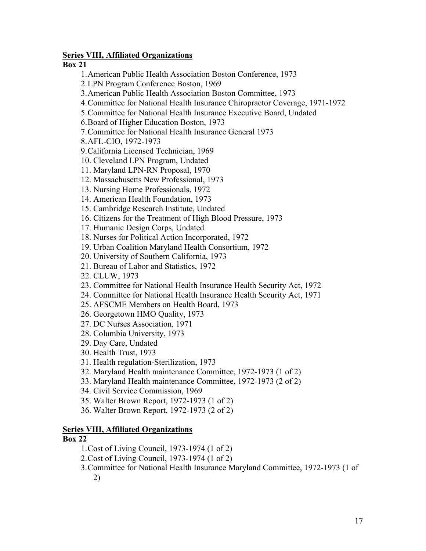## **Series VIII, Affiliated Organizations**

## **Box 21**

1.American Public Health Association Boston Conference, 1973

2.LPN Program Conference Boston, 1969

3.American Public Health Association Boston Committee, 1973

4.Committee for National Health Insurance Chiropractor Coverage, 1971-1972

5.Committee for National Health Insurance Executive Board, Undated

6.Board of Higher Education Boston, 1973

7.Committee for National Health Insurance General 1973

8.AFL-CIO, 1972-1973

9.California Licensed Technician, 1969

10. Cleveland LPN Program, Undated

- 11. Maryland LPN-RN Proposal, 1970
- 12. Massachusetts New Professional, 1973

13. Nursing Home Professionals, 1972

14. American Health Foundation, 1973

15. Cambridge Research Institute, Undated

16. Citizens for the Treatment of High Blood Pressure, 1973

17. Humanic Design Corps, Undated

18. Nurses for Political Action Incorporated, 1972

19. Urban Coalition Maryland Health Consortium, 1972

20. University of Southern California, 1973

21. Bureau of Labor and Statistics, 1972

22. CLUW, 1973

23. Committee for National Health Insurance Health Security Act, 1972

24. Committee for National Health Insurance Health Security Act, 1971

25. AFSCME Members on Health Board, 1973

26. Georgetown HMO Quality, 1973

27. DC Nurses Association, 1971

28. Columbia University, 1973

- 29. Day Care, Undated
- 30. Health Trust, 1973
- 31. Health regulation-Sterilization, 1973
- 32. Maryland Health maintenance Committee, 1972-1973 (1 of 2)
- 33. Maryland Health maintenance Committee, 1972-1973 (2 of 2)
- 34. Civil Service Commission, 1969
- 35. Walter Brown Report, 1972-1973 (1 of 2)
- 36. Walter Brown Report, 1972-1973 (2 of 2)

## **Series VIII, Affiliated Organizations**

- 1.Cost of Living Council, 1973-1974 (1 of 2)
- 2.Cost of Living Council, 1973-1974 (1 of 2)
- 3.Committee for National Health Insurance Maryland Committee, 1972-1973 (1 of